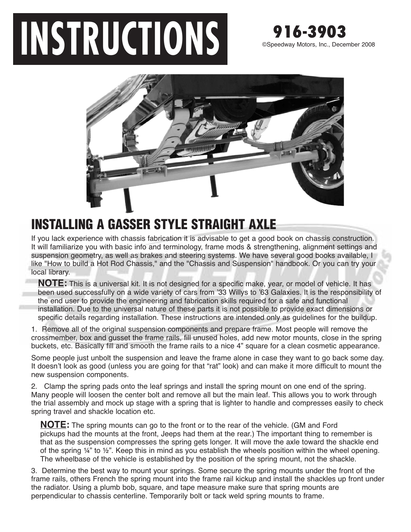## **INSTRUCTIONS** 916-3903



## **INSTALLING A GASSER STYLE STRAIGHT AXLE**

If you lack experience with chassis fabrication it is advisable to get a good book on chassis construction. It will familiarize you with basic info and terminology, frame mods & strengthening, alignment settings and suspension geometry, as well as brakes and steering systems. We have several good books available, I like "How to build a Hot Rod Chassis," and the "Chassis and Suspension" handbook. Or you can try your local library.

**NOTE:** This is a universal kit. It is not designed for a specific make, year, or model of vehicle. It has been used successfully on a wide variety of cars from '33 Willys to '63 Galaxies. It is the responsibility of the end user to provide the engineering and fabrication skills required for a safe and functional installation. Due to the universal nature of these parts it is not possible to provide exact dimensions or specific details regarding installation. These instructions are intended only as guidelines for the buildup.

1. Remove all of the original suspension components and prepare frame. Most people will remove the crossmember, box and gusset the frame rails, fill unused holes, add new motor mounts, close in the spring buckets, etc. Basically fill and smooth the frame rails to a nice 4" square for a clean cosmetic appearance.

Some people just unbolt the suspension and leave the frame alone in case they want to go back some day. It doesn't look as good (unless you are going for that "rat" look) and can make it more difficult to mount the new suspension components.

2. Clamp the spring pads onto the leaf springs and install the spring mount on one end of the spring. Many people will loosen the center bolt and remove all but the main leaf. This allows you to work through the trial assembly and mock up stage with a spring that is lighter to handle and compresses easily to check spring travel and shackle location etc.

**NOTE:** The spring mounts can go to the front or to the rear of the vehicle. (GM and Ford pickups had the mounts at the front, Jeeps had them at the rear.) The important thing to remember is that as the suspension compresses the spring gets longer. It will move the axle toward the shackle end of the spring  $\frac{1}{4}$ " to  $\frac{1}{2}$ ". Keep this in mind as you establish the wheels position within the wheel opening. The wheelbase of the vehicle is established by the position of the spring mount, not the shackle.

3. Determine the best way to mount your springs. Some secure the spring mounts under the front of the frame rails, others French the spring mount into the frame rail kickup and install the shackles up front under the radiator. Using a plumb bob, square, and tape measure make sure that spring mounts are perpendicular to chassis centerline. Temporarily bolt or tack weld spring mounts to frame.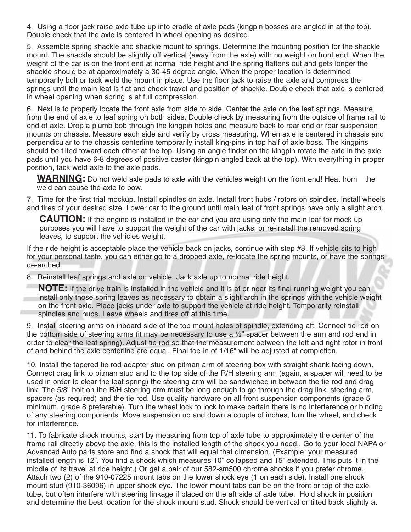4. Using a floor jack raise axle tube up into cradle of axle pads (kingpin bosses are angled in at the top). Double check that the axle is centered in wheel opening as desired.

5. Assemble spring shackle and shackle mount to springs. Determine the mounting position for the shackle mount. The shackle should be slightly off vertical (away from the axle) with no weight on front end. When the weight of the car is on the front end at normal ride height and the spring flattens out and gets longer the shackle should be at approximately a 30-45 degree angle. When the proper location is determined, temporarily bolt or tack weld the mount in place. Use the floor jack to raise the axle and compress the springs until the main leaf is flat and check travel and position of shackle. Double check that axle is centered in wheel opening when spring is at full compression.

6. Next is to properly locate the front axle from side to side. Center the axle on the leaf springs. Measure from the end of axle to leaf spring on both sides. Double check by measuring from the outside of frame rail to end of axle. Drop a plumb bob through the kingpin holes and measure back to rear end or rear suspension mounts on chassis. Measure each side and verify by cross measuring. When axle is centered in chassis and perpendicular to the chassis centerline temporarily install king-pins in top half of axle boss. The kingpins should be tilted toward each other at the top. Using an angle finder on the kingpin rotate the axle in the axle pads until you have 6-8 degrees of positive caster (kingpin angled back at the top). With everything in proper position, tack weld axle to the axle pads.

**WARNING:** Do not weld axle pads to axle with the vehicles weight on the front end! Heat from the weld can cause the axle to bow.

7. Time for the first trial mockup. Install spindles on axle. Install front hubs / rotors on spindles. Install wheels and tires of your desired size. Lower car to the ground until main leaf of front springs have only a slight arch.

**CAUTION:** If the engine is installed in the car and you are using only the main leaf for mock up purposes you will have to support the weight of the car with jacks, or re-install the removed spring leaves, to support the vehicles weight.

If the ride height is acceptable place the vehicle back on jacks, continue with step #8. If vehicle sits to high for your personal taste, you can either go to a dropped axle, re-locate the spring mounts, or have the springs de-arched.

8. Reinstall leaf springs and axle on vehicle. Jack axle up to normal ride height.

**NOTE:** If the drive train is installed in the vehicle and it is at or near its final running weight you can install only those spring leaves as necessary to obtain a slight arch in the springs with the vehicle weight on the front axle. Place jacks under axle to support the vehicle at ride height. Temporarily reinstall spindles and hubs. Leave wheels and tires off at this time.

9. Install steering arms on inboard side of the top mount holes of spindle, extending aft. Connect tie rod on the bottom side of steering arms (it may be necessary to use a ½" spacer between the arm and rod end in order to clear the leaf spring). Adjust tie rod so that the measurement between the left and right rotor in front of and behind the axle centerline are equal. Final toe-in of 1/16" will be adjusted at completion.

10. Install the tapered tie rod adapter stud on pitman arm of steering box with straight shank facing down. Connect drag link to pitman stud and to the top side of the R/H steering arm (again, a spacer will need to be used in order to clear the leaf spring) the steering arm will be sandwiched in between the tie rod and drag link. The 5/8" bolt on the R/H steering arm must be long enough to go through the drag link, steering arm, spacers (as required) and the tie rod. Use quality hardware on all front suspension components (grade 5 minimum, grade 8 preferable). Turn the wheel lock to lock to make certain there is no interference or binding of any steering components. Move suspension up and down a couple of inches, turn the wheel, and check for interference.

11. To fabricate shock mounts, start by measuring from top of axle tube to approximately the center of the frame rail directly above the axle, this is the installed length of the shock you need.. Go to your local NAPA or Advanced Auto parts store and find a shock that will equal that dimension. (Example: your measured installed length is 12". You find a shock which measures 10" collapsed and 15" extended. This puts it in the middle of its travel at ride height.) Or get a pair of our 582-sm500 chrome shocks if you prefer chrome. Attach two (2) of the 910-07225 mount tabs on the lower shock eye (1 on each side). Install one shock mount stud (910-36096) in upper shock eye. The lower mount tabs can be on the front or top of the axle tube, but often interfere with steering linkage if placed on the aft side of axle tube. Hold shock in position and determine the best location for the shock mount stud. Shock should be vertical or tilted back slightly at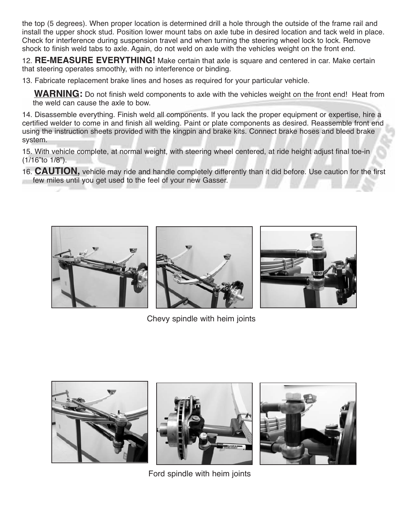the top (5 degrees). When proper location is determined drill a hole through the outside of the frame rail and install the upper shock stud. Position lower mount tabs on axle tube in desired location and tack weld in place. Check for interference during suspension travel and when turning the steering wheel lock to lock. Remove shock to finish weld tabs to axle. Again, do not weld on axle with the vehicles weight on the front end.

12. **RE-MEASURE EVERYTHING!** Make certain that axle is square and centered in car. Make certain that steering operates smoothly, with no interference or binding.

13. Fabricate replacement brake lines and hoses as required for your particular vehicle.

**WARNING:** Do not finish weld components to axle with the vehicles weight on the front end! Heat from the weld can cause the axle to bow.

14. Disassemble everything. Finish weld all components. If you lack the proper equipment or expertise, hire a certified welder to come in and finish all welding. Paint or plate components as desired. Reassemble front end using the instruction sheets provided with the kingpin and brake kits. Connect brake hoses and bleed brake system.

15. With vehicle complete, at normal weight, with steering wheel centered, at ride height adjust final toe-in (1/16"to 1/8").

16. **CAUTION,** vehicle may ride and handle completely differently than it did before. Use caution for the first few miles until you get used to the feel of your new Gasser.





Chevy spindle with heim joints







Ford spindle with heim joints